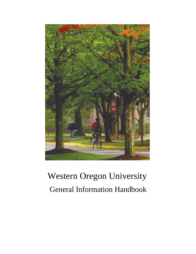

# Western Oregon University General Information Handbook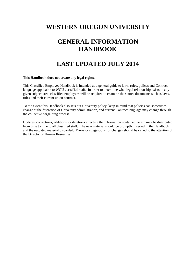# **WESTERN OREGON UNIVERSITY**

# **GENERAL INFORMATION HANDBOOK**

# **LAST UPDATED JULY 2014**

#### **This Handbook does not create any legal rights.**

This Classified Employee Handbook is intended as a general guide to laws, rules, polices and Contract language applicable to WOU classified staff. In order to determine what legal relationship exists in any given subject area, classified employees will be required to examine the source documents such as laws, rules and their current union contract.

To the extent this Handbook also sets out University policy, keep in mind that policies can sometimes change at the discretion of University administration, and current Contract language may change through the collective bargaining process.

Updates, corrections, additions, or deletions affecting the information contained herein may be distributed from time to time to all classified staff. The new material should be promptly inserted in the Handbook and the outdated material discarded. Errors or suggestions for changes should be called to the attention of the Director of Human Resources.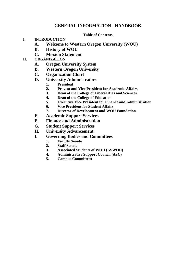# **GENERAL INFORMATION - HANDBOOK**

### **Table of Contents**

### **I. INTRODUCTION**

- **A. Welcome to Western Oregon University (WOU)**
- **B. History of WOU**
- **C. Mission Statement**

# **II. ORGANIZATION**

- **A. Oregon University System**
- **B. Western Oregon University**
- **C. Organization Chart**
- **D. University Administrators**
	- **1. President**
	- **2. Provost and Vice President for Academic Affairs**
	- **3. Dean of the College of Liberal Arts and Sciences**
	- **4. Dean of the College of Education**
	- **5. Executive Vice President for Finance and Administration**
	- **6. Vice President for Student Affairs**
	- **7. Director of Development and WOU Foundation**
- **E. Academic Support Services**
- **F. Finance and Administration**
- **G. Student Support Services**
- **H. University Advancement**
- **I. Governing Bodies and Committees**
	- **1. Faculty Senate**
		- **2. Staff Senate**
		- **3. Associated Students of WOU (ASWOU)**
		- **4. Administrative Support Council (ASC)**
		- **5. Campus Committees**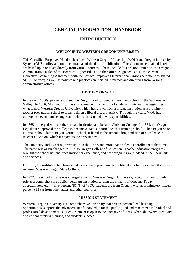# **GENERAL INFORMATION - HANDBOOK**

## **INTRODUCTION**

#### **WELCOME TO WESTERN OREGON UNIVERSITY**

This Classified Employee Handbook reflects Western Oregon University (WOU) and Oregon University System (OUS) policy and union contract as of the date of publication. The statements contained herein are based upon or taken directly from various sources. These include, but are not limited to, the Oregon Administrative Rules of the Board of Higher Education (hereafter designated OAR), the current Collective Bargaining Agreement with the Service Employees International Union (hereafter designated SEIU Contract), as well as policies and practices enunciated in memos and directives from various administrative offices.

#### **HISTORY OF WOU**

In the early 1850s, pioneers crossed the Oregon Trail to found a church and school in the Willamette Valley. In 1856, Monmouth University opened with a handful of students. This was the beginning of what is now Western Oregon University, which has grown from a private institution as a prominent teacher preparation school to today's diverse liberal arts university. Through the years, WOU has undergone seven name changes and with each assumed new responsibilities.

In 1865, it merged with another private institution and became Christian College. In 1882, the Oregon Legislature approved the college to become a state-supported teacher training school. The Oregon State Normal School, later Oregon Normal School, ushered in the school's long tradition of excellence in teacher education, which it enjoys to the present day.

The university underwent a growth spurt in the 1920s and more than tripled its enrollment at that time. The name was again changed in 1939 to Oregon College of Education. Teacher education programs brought the school national recognition for excellence, and new programs were added in the liberal arts and sciences.

By 1981, the institution had broadened its academic programs in the liberal arts fields so much that it was renamed Western Oregon State College.

In 1997, the school's name was changed again to Western Oregon University, recognizing our broader role as a comprehensive public liberal arts institution serving the citizens of Oregon. Today, approximately eighty-five percent (85 %) of WOU students are from Oregon, with approximately fifteen percent (15 %) from other states and other countries.

#### **MISSION STATEMENT**

Western Oregon University is a comprehensive university that creates personalized learning opportunities, supports the advancement of knowledge for the public good and maximizes individual and professional development. Our environment is open to the exchange of ideas, where discovery, creativity and critical thinking flourish, and students succeed.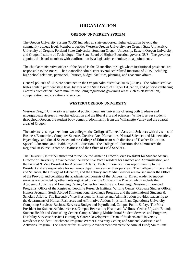### **ORGANIZATION**

#### **OREGON UNIVERSITY SYSTEM**

The Oregon University System (OUS) includes all state-supported higher education beyond the community college level. Members, besides Western Oregon University, are Oregon State University, University of Oregon, Portland State University, Southern Oregon University, Eastern Oregon University, and Oregon Institute of Technology. The State Board of Higher Education governs OUS. The governor appoints the board members with confirmation by a legislative committee on appointments.

The chief administrative officer of the Board is the Chancellor, through whom institutional presidents are responsible to the Board. The Chancellor administers several centralized functions of OUS, including high school relations, personnel, libraries, budget, facilities, planning, and academic affairs.

General policies of OUS are contained in the Oregon Administrative Rules (OARs). The Administrative Rules contain pertinent state laws, bylaws of the State Board of Higher Education, and policy-establishing excerpts from official board minutes including regulations governing areas such as classification, compensation, and conditions of service.

#### **WESTERN OREGON UNIVERSITY**

Western Oregon University is a regional public liberal arts university offering both graduate and undergraduate degrees in teacher education and the liberal arts and sciences. While it serves students throughout Oregon, the student body comes predominantly from the Willamette Valley and the coastal areas of Oregon.

The university is organized into two colleges: the **College of Liberal Arts and Sciences** with divisions of Business/Economics, Computer Science, Creative Arts, Humanities, Natural Sciences and Mathematics, Psychology, and Social Science; and the **College of Education** with divisions of Teacher Education, Special Education, and Health/Physical Education. The College of Education also administers the Regional Resource Center on Deafness and the Office of Field Services.

The University is further structured to include the Athletic Director, Vice President for Student Affairs, Director of University Advancement, the Executive Vice President for Finance and Administration, and the Provost & Vice President for Academic Affairs. Each of these positions report directly to the President and are responsible for numerous departments under their purview. The College of Liberal Arts and Sciences, the College of Education, and the Library and Media Services are housed under the Office of the Provost, and constitute the academic components of the University. Direct academic support services are provided by other units organized under the Office of the Provost which include the Academic Advising and Learning Center; Center for Teaching and Learning; Division of Extended Programs; Office of the Registrar; Teaching Research Institute; Writing Center; Graduate Studies Office; Honors Program; Study Abroad & International Exchange Program; and the International Students & Scholars Affairs. The Executive Vice President for Finance and Administration provides leadership to the departments of Human Resources and Affirmative Action; Physical Plant Operations; University Computing Services; Business Services; Budget and Payroll; and, Campus Public Safety. The Vice President for Student Affairs oversees Campus Recreation; Health and Wellness Center, Upward Bound; Student Health and Counseling Center; Campus Dining; Multicultural Student Services and Programs; Disability Services; Service Learning & Career Development; Dean of Students and University Residences; Student Enrichment Program; Werner University Center; and Student Leadership and Activities Program. The Director for University Advancement oversees the Annual Fund; Smith Fine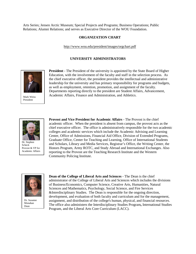Arts Series; Jensen Arctic Museum; Special Projects and Programs; Business Operations; Public Relations; Alumni Relations; and serves as Executive Director of the WOU Foundation.

#### **ORGANIZATION CHART**

#### http://www.wou.edu/president/images/orgchart.pdf

#### **UNIVERSITY ADMINISTRATORS**



Mark Weiss President

**President** - The President of the university is appointed by the State Board of Higher Education, with the involvement of the faculty and staff in the selection process. As the chief executive officer, the president provides the intellectual and administrative leadership for the university and has primary responsibility for programs and budgets, as well as employment, retention, promotion, and assignment of the faculty. Departments reporting directly to the president are Student Affairs, Advancement, Academic Affairs, Finance and Administration, and Athletics.



Dr. Stephen Scheck Provost & VP for Academic Affairs

**Provost and Vice President for Academic Affairs** - The Provost is the chief academic officer. When the president is absent from campus, the provost acts as the chief executive officer. The office is administratively responsible for the two academic colleges and academic services which include the Academic Advising and Learning Center, Office of Admissions, Financial Aid Office, Division of Extended Programs, Graduate Office, Center for Teaching and Learning, Office of International Students and Scholars, Library and Media Services, Registrar's Office, the Writing Center, the Honors Program, Army ROTC, and Study Abroad and International Exchanges. Also reporting to the Provost are the Teaching Research Institute and the Western Community Policing Institute.



Dr. Susanne Monahan Dean

**Dean of the College of Liberal Arts and Sciences** - The Dean is the chief administrator of the College of Liberal Arts and Sciences which includes the divisions of Business/Economics, Computer Science, Creative Arts, Humanities, Natural Sciences and Mathematics, Psychology, Social Science, and Fire Services &Interdisciplinary Studies. The Dean is responsible for the ongoing direction, development, and evaluation of both faculty and curriculum and for the management, assignment, and distribution of the college's human, physical, and financial resources. The office also administers the Interdisciplinary Studies Program**,** International Studies Program, and the Liberal Arts Core Curriculum (LACC).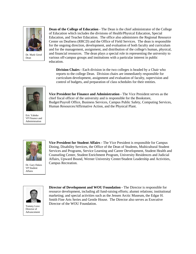

Dr. Mark Girod Dean

**Dean of the College of Education** - The Dean is the chief administrator of the College of Education which includes the divisions of Health/Physical Education, Special Education, and Teacher Education. The office also administers the Regional Resource Center on Deafness (RRCD) and the Office of Field Services. The dean is responsible for the ongoing direction, development, and evaluation of both faculty and curriculum and for the management, assignment, and distribution of the college's human, physical, and financial resources. The dean plays a special role in representing the university to various off-campus groups and institutions with a particular interest in public education.

**Division Chairs - Each division in the two colleges is headed by a Chair who** reports to the college Dean. Division chairs are immediately responsible for curriculum development, assignment and evaluation of faculty, supervision and control of budgets, and preparation of class schedules for their entities.



**Vice President for Finance and Administration -** The Vice President serves as the chief fiscal officer of the university and is responsible for the Bookstore, Budget/Payroll Office, Business Services, Campus Public Safety, Computing Services, Human Resources/Affirmative Action, and the Physical Plant.

Eric Yahnke VP Finance and Administration



Dr. Gary Dukes VP Student Affairs

**Vice President for Student Affairs -** The Vice President is responsible for Campus Dining, Disability Services, the Office of the Dean of Students, Multicultural Student Services and Programs, Service Learning and Career Development, Student Health and Counseling Center, Student Enrichment Program, University Residences and Judicial Affairs, Upward Bound, Werner University Center/Student Leadership and Activities, Campus Recreation.



Tommy Love Director of Advancement

**Director of Development and WOU Foundation -** The Director is responsible for resource development, including all fund-raising efforts; alumni relations; institutional marketing; and special activities such as the Jensen Arctic Museum, the Edgar H. Smith Fine Arts Series and Gentle House. The Director also serves as Executive Director of the WOU Foundation.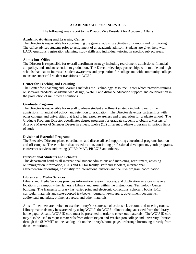#### **ACADEMIC SUPPORT SERVICES**

The following areas report to the Provost/Vice President for Academic Affairs

#### **Academic Advising and Learning Center**

The Director is responsible for coordinating the general advising activities on campus and for tutoring. The office advises students prior to assignment of an academic advisor. Students are given help with LACC questions, registration planning, study skills and individual tutoring in specific subject areas.

#### **Admissions Office**

The Director is responsible for overall enrollment strategy including recruitment, admissions, financial aid policy, and student retention to graduation. The Director develops partnerships with middle and high schools that lead to increased student awareness and preparation for college and with community colleges to ensure successful student transitions to WOU.

#### **Center for Teaching and Learning**

The Center for Teaching and Learning includes the Technology Resource Center which provides training on software products, academic web design, WebCT and distance education support, and collaboration in the production of multimedia solutions.

#### **Graduate Programs**

The Director is responsible for overall graduate student enrollment strategy including recruitment, admissions, financial aid policy, and retention to graduation. The Director develops partnerships with other colleges and universities that lead to increased awareness and preparation for graduate school. The Graduate Programs Director coordinates degree programs for graduate students to obtain a Masters of Arts or a Masters of Sciences Degree in at least twelve (12) different graduate programs in various fields of study.

#### **Division of Extended Programs**

The Executive Director plans, coordinates, and directs all self-supporting educational programs both on and off campus. These include distance education, continuing professional development, youth programs, conference services and testing (CLEP, MAT, PRAXIS and others).

#### **International Students and Scholars**

This department handles all international student admissions and marketing, recruitment, advising on immigration information, H-1B and J-1 for faculty, staff and scholars, international agreements/relationships, hospitality for international visitors and the ESL program coordination.

#### **Library and Media Services**

Library and Media Services provides information research, access, and duplication services in several locations on campus – the Hamersly Library and areas within the Instructional Technology Center building. The Hamersly Library has varied print and electronic collections, scholarly books, k-12 curricular materials and state-adopted textbooks, journals, newspapers, government documents, audiovisual materials, online resources, and other materials.

All staff members are invited to use the library's resources, collections, classrooms and meeting rooms. Library materials may be searched by using WOLF, the WOU online catalog, accessed from the library home page. A valid WOU ID card must be presented in order to check out materials. The WOU ID card may also be used to request materials from other Oregon and Washington college and university libraries through the SUMMIT online catalog link on the library's home page, or through borrowing directly from those institutions.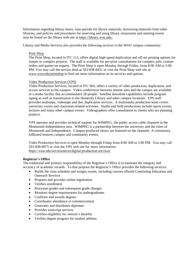Information regarding library hours, loan periods for library materials, borrowing materials from other libraries, and policies and procedures for reserving and using library classrooms and meeting rooms may be found on the library web site at https://library.wou.edu/.

Library and Media Services also provides the following services to the WOU campus community:

#### Print Shop

The Print Shop, located in ITC 112, offers digital high-speed duplication and off-set printing options for simple or complex projects. The staff is available for pre-print consultations for complex jobs, custom orders and quotes on request. The Print Shop is open Monday through Friday, from 8:00 AM to 5:00 PM. You may call the service desk at 503-838-8431 or visit the Print Shop web site at www.wou.edu/printshop to find out more information on its services and options.

#### Video Production Services (VPS)

Video Production Services, located in ITC 004, offers a variety of video production, duplication, and access services to the campus. Video conferences between remote sites and the campus are available in a studio facility that accommodates 28 people. Satellite downlink capabilities include program taping as well as transmission to the Hamersly Library and other campus locations. VPS staff provides audiotape, videotape and disc duplication services. A multimedia production team covers university events and classroom-related activities. Studio and field productions include sports events, lectures and many other campus events. Videographers offer consultation to clients who are planning projects.

VPS operates and provides technical support for WIMPEG, the public access cable channels in the Monmouth-Independence area. WIMPEG is a partnership between the university and the cities of Monmouth and Independence. Campus-produced shows are featured on the channels. A community billboard features campus and community events.

Video Production Services is open Monday through Friday from 8:00 AM to 5:00 PM. You may call 503-838-8975 or visit the VPS web site for more information: https://wou.edu/ucs/resources/digital-production-services/

#### **Registrar's Office**

The traditional and primary responsibility of the Registrar's Office is to maintain the integrity and accuracy of academic records. To that purpose the Registrar's Office provides the following services:

- Builds the class schedule and assigns rooms, including courses offered Continuing Education and Outreach Services
- Prepares and provides online registration
- Verifies enrollment
- Processes grades and subsequent grade changes
- Monitors degree requirements for undergraduates
- Confirms and awards degrees
- Coordinates attendance at commencement
- Generates and distributes diplomas
- Provides transcript services
- Certifies eligibility for veteran's benefits
- Verifies degree progress for student athletes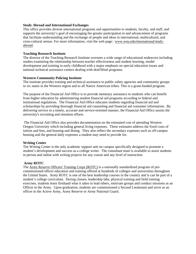#### **Study Abroad and International Exchanges**

This office provides diverse international programs and opportunities to students, faculty, and staff, and supports the university's goal of encouraging the greater participation in and advancement of programs that facilitate understanding and the exchange of people and ideas in international, multicultural, and cross-cultural arenas. For more information, visit the web page: www.wou.edu/international/studyabroad.

#### **Teaching Research Institute**

The director of the Teaching Research Institute oversees a wide range of educational endeavors including studies examining the relationship between teacher effectiveness and student learning, model development and training in early childhood with a major emphasis on special education issues and national technical assistance centers dealing with deaf/blind programs.

#### **Western Community Policing Institute**

The institute provides training and technical assistance to public safety agencies and community groups in six states in the Western region and to all Native American tribes. This is a grant-funded program.

The purpose of the Financial Aid Office is to provide monetary assistance to students who can benefit from higher education by administering student financial aid programs according to federal and institutional regulations. The Financial Aid Office educates students regarding financial aid and scholarships by providing thorough financial aid counseling and financial aid consumer information. By delivering service in a timely, accurate and service-oriented manner, the Financial Aid Office assists the university's recruiting and retention efforts.

 The Financial Aid Office also provides documentation on the estimated cost of attending Western Oregon University which including general living expenses. These estimates address the fixed costs of tuition and fees, and housing and dining. They also reflect the secondary expenses such as off-campus housing and the general daily expenses a student may need to provide for.

#### **Writing Center**

The Writing Center is the only academic support unit on campus specifically designed to promote a student's development and success as a college writer. The consultant team is available to assist students in person and online with writing projects for any course and any level of instruction.

#### **Army ROTC**

The Army Reserve Officers' Training Corps (ROTC) is a nationally standardized program of precommissioned officer education and training offered at hundreds of colleges and universities throughout the United States. Army ROTC is one of the best leadership courses in the country and is can be part of a student's college curriculum. During classes, leadership labs, physical training and field training exercises, students learn firsthand what it takes to lead others, motivate groups and conduct missions as an Officer in the Army. Upon graduation, students are commissioned a Second Lieutenant and serve as an officer in the Active Army, Army Reserve or Army National Guard.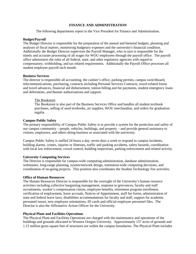#### **FINANCE AND ADMINISTRATION**

The following departments report to the Vice President for Finance and Administration.

#### **Budget/Payroll**

The Budget Director is responsible for the preparation of the annual and biennial budgets, planning and analyses of fiscal matters, monitoring budgetary expenses and the university's financial condition. Additionally the Budget Director supervises the Payroll Manager, who in turn is responsible for the timely and accurate processing of all wages for WOU employees through the payroll office. The payroll office administers the rules of all federal, state, and other regulatory agencies with regard to compensatory, withholding, and tax related requirements. Additionally the Payroll Office processes all student employee payroll each month.

#### **Business Services**

The director is responsible all accounting, the cashier's office, parking permits, campus switchboard, telecommunications, purchasing, contracts including Personal Services Contracts, travel-related forms and travel advances, financial aid disbursement, tuition billing and fee payments, student emergency loans and deferments, and Banner authorizations and support.

#### The Bookstore

The Bookstore is also part of the Business Services Office and handles all student textbook purchases, selling of used textbooks, art supplies, WOU merchandise, and orders for graduation regalia.

#### **Campus Public Safety**

The primary responsibility of Campus Public Safety is to provide a system for the protection and safety of our campus community – people, vehicles, buildings, and property – and provide general assistance to visitors, employees, and others doing business or associated with the university.

Campus Public Safety is staffed 24 hours a day, seven days a week to respond to campus incidents, building alarms, crimes, injuries or illnesses, traffic and parking accidents, safety hazards, coordination with local law enforcement, crowd control, building inspections, parking enforcement and related activity.

#### **University Computing Services**

The Director is responsible for campus-wide computing administration, database administration, webmaster, long-range planning, system/network design, institution-wide computing decisions, and coordination of on-going projects. This position also coordinates the Student Technology Fee activities.

#### **Office of Human Resources**

The Human Resources Director is responsible for the oversight of the University's human resource activities including collective bargaining management, response to grievances, faculty and staff recruitments, worker's compensation claims, employee benefits, retirement program enrollment, verification of employment, leave accruals, Notices of Appointment, staff fee forms, administration of state and federal leave laws, disabilities accommodations for faculty and staff, support for academic personnel issues, new employee orientations, ID cards and official employee personnel files. The Director is also the Affirmative Action Officer for the University.

#### **Physical Plant and Facilities Operations**

The Physical Plant and Facilities Operations are charged with the maintenance and operations of the buildings and grounds allocated to Western Oregon University. Approximately 157 acres of grounds and 1.15 million gross square feet of structures are within the campus boundaries. The Physical Plant includes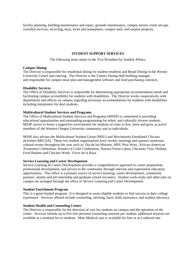facility planning, building maintenance and repair, grounds maintenance, campus moves, event set-ups, custodial services, recycling, keys, locks and nameplates, campus mail, and surplus property.

#### **STUDENT SUPPORT SERVICES**

The following areas report to the Vice President for Student Affairs.

#### **Campus Dining**

The Director is responsible for residential dining for student residents and Retail Dining in the Werner University Center and catering. The Director is the Valsetz Dining Hall building manager and responsible for campus meal plan and management software and food purchasing contracts.

#### **Disability Services**

The Office of Disability Services is responsible for determining appropriate accommodation needs and facilitating campus accessibility for students with disabilities. The Director works cooperatively with departments and offices on campus regarding necessary accommodations for students with disabilities including interpreters for deaf students.

#### **Multicultural Student Services and Programs**

The Office of Multicultural Student Services and Programs (MSSP) is committed to providing educational opportunities and outstanding programming for ethnic and culturally diverse students. MSSP strives to foster a supportive environment for students of color to live, learn and grow as active members of the Western Oregon University community and as individuals.

MSSP also advises the Multicultural Student Union (MSU) and Movimiento Estudiantil Chicano deAztlan (MEChA). These two student organizations have weekly meetings and sponsor numerous cultural events throughout the year such as: Dia de los Muertos, MSU Pow-Wow, African-American Awareness Celebration, Women of Color Celebration, Nuestra Fiesta Latina, Chicanito Tour, Holiday Food Baskets and Chicano Week: Voces de la Raza.

#### **Service Learning and Career Development**

Service Learning & Career Development provides a comprehensive approach to career preparation, professional development, and service to the community through relevant and experiential education opportunities. This office is a primary source of service learning, career development, community partners, alumni and job internship and graduate school recruiters. Student work-study and other jobs on campus are arranged through the office of Service Learning and Career Development.

#### **Student Enrichment Program**

This is a grant-funded program. It is designed to assist eligible students to find success in their college experience. Services offered include counseling, advising, basic skills assistance, and student advocacy.

#### **Student Health and Counseling Center**

The Director is responsible for the direction of care for students on campus and the operation of the center. Services include up to five free personal counseling sessions per student; additional sessions are available at a nominal fee to students. Most Medical care is available for free or at a reduced rate.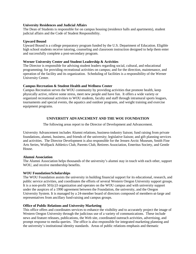#### **University Residences and Judicial Affairs**

The Dean of Students is responsible for on campus housing (residence halls and apartments), student judicial affairs and the Code of Student Responsibility.

#### **Upward Bound**

Upward Bound is a college preparatory program funded by the U.S. Department of Education. Eligible high school students receive tutoring, counseling and classroom instruction designed to help them enter and successfully complete a post-secondary program.

#### **Werner University Center and Student Leadership & Activities**

The Director is responsible for advising student leaders regarding social, cultural, and educational programming; for providing recreational activities on campus; and for the direction, maintenance, and operation of the facility and its organization. Scheduling of facilities is a responsibility of the Werner University Center.

#### **Campus Recreation & Student Health and Wellness Center**

Campus Recreation serves the WOU community by providing activities that promote health, keep physically active, relieve some stress, meet new people and have fun. It offers a wide variety or organized recreational activities to WOU students, faculty and staff through intramural sports leagues, tournaments and special events, the aquatics and outdoor programs, and weight training and exercise equipment programs.

#### **UNIVERSITY ADVANCEMENT AND THE WOU FOUNDATION**

The following areas report to the Director of Development and Advancement.

University Advancement includes Alumni relations, business-industry liaison; fund raising from private foundations, alumni, business, and friends of the university; legislative liaison; and gift planning services and activities. The Director Development is also responsible for the Jensen Arctic Museum, Smith Fine Arts Series, Wolfpack Athletics Club, Parents Club, Retirees Association, Emeritus Society, and Gentle House.

#### **Alumni Association**

The Alumni Association helps thousands of the university's alumni stay in touch with each other, support WOU, and receive membership benefits.

#### **WOU Foundation/Scholarships**

The WOU Foundation assists the university in building financial support for its educational, research, and public service activities, and coordinates the efforts of several Western Oregon University support groups. It is a non-profit 501(c)3 organization and operates on the WOU campus and with university support under the auspices of a 1990 agreement between the Foundation, the university, and the Oregon University System. It is managed by a 24-member board of directors composed of members-at-large and representatives from ancillary fund-raising and campus groups.

#### **Office of Public Relations and University Marketing**

This office offers and coordinates services to enhance the visibility and to accurately project the image of Western Oregon University through the judicious use of a variety of communications. These include news and feature releases, publications, the Web site, coordinated outreach activities, advertising, and prompt response to media queries. The office is also responsible for integrated marketing planning and the university's institutional identity standards. Areas of public relations emphasis and thematic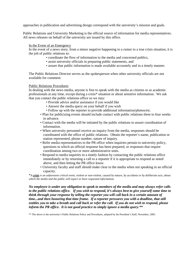approaches in publication and advertising design correspond with the university's mission and goals.

Public Relations and University Marketing is the official source of information for media representatives. All news releases on behalf of the university are issued by this office.

#### In the Event of an Emergency

In the event of a news story, from a minor negative happening to a rumor to a true crisis situation, it is the job of public relations to:

- coordinate the flow of information to the media and concerned publics,
- assist university officials in preparing public statements, and
- assure that public information is made available accurately and in a timely manner.

The Public Relations Director serves as the spokesperson when other university officials are not available for comment.

#### Public Relations Procedures

In dealing with the news media, anyone is free to speak with the media as citizens or as academic professionals at any time, except during a crisis\* situation or about sensitive information. We ask that you contact the public relations office so we may:

- Provide advice and/or assistance if you would like
- Answer the media query on your behalf if you wish
- Follow up with the reporter to provide additional information/photos/etc.
- Plan for publicizing events should include contact with public relations three to four weeks in advance.
- Contact with the media will be initiated by the public relations to assure coordination of information.
- When university personnel receive an inquiry from the media, responses should be coordinated with the office of public relations. Obtain the reporter's name, publication or station represented, phone number, nature of inquiry.
- Refer media representatives to the PR office when inquiries pertain to university policy, questions to which an official response has been prepared, or responses that require coordination among two or more administrative units.
- Respond to media inquiries in a timely fashion by contacting the public relations office immediately or by returning a call to a reporter if it is appropriate to respond as noted above, and then letting the PR office know.
- University faculty and staff should make clear to the media when not speaking in an official capacity.

\**A crisis is an unforeseen critical event, violent or non-violent, caused by nature, by accidents or by deliberate acts, about which the media and the public will expect or have requested information.*

*No employee is under any obligation to speak to members of the media and may always refer calls to the public relations office. If you wish to respond, it's always best to give yourself some time to think through your response by telling the reporter you will call back in a certain amount of time...and then honoring that time frame. If a reporter pressures you with a deadline, that still entitles you to take a breath and call back or refer the call. If you do not wish to respond, please inform the PR office. It is not good practice to simply ignore a media query.\*\**

\*\* The above is the university's Public Relations Policy and Procedures, adopted by the President's Staff, November, 2005.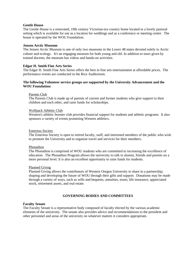#### **Gentle House**

The Gentle House is a renovated, 19th century Victorian-era country home located in a lovely pastoral setting which is available for use as a location for weddings and as a conference or meeting center. The house is operated by the WOU Foundation.

#### **Jensen Arctic Museum**

The Jensen Arctic Museum is one of only two museums in the Lower 48 states devoted solely to Arctic culture and ecology. It's an engaging museum for both young and old. In addition to tours given by trained docents, the museum has videos and hands-on activities.

#### **Edgar H. Smith Fine Arts Series**

The Edgar H. Smith Fine Arts Series offers the best in fine arts entertainment at affordable prices. The performance events are conducted in the Rice Auditorium.

#### **The following Volunteer service groups are supported by the University Advancement and the WOU Foundation:**

#### Parents Club

The Parents Club is made up of parents of current and former students who give support to their children and each other, and raise funds for scholarships.

#### Wolfpack Athletic Club

Western's athletic booster club provides financial support for students and athletic programs. It also sponsors a variety of events promoting Western athletics.

#### Emeritus Society

The Emeritus Society is open to retired faculty, staff, and interested members of the public who wish to promote the University and to organize travel and services for their members.

#### Phonathon

The Phonathon is comprised of WOU students who are committed to increasing the excellence of education. The Phonathon Program allows the university to talk to alumni, friends and parents on a more personal level. It is also an excellent opportunity to raise funds for students.

#### Planned Giving

Planned Giving allows the contributors of Western Oregon University to share in a partnership; shaping and developing the future of WOU through their gifts and support. Donations may be made through a variety of ways, such as wills and bequests, annuities, trusts, life insurance, appreciated stock, retirement assets, and real estate.

#### **GOVERNING BODIES AND COMMITTEES**

#### **Faculty Senate**

The Faculty Senate is a representative body composed of faculty elected by the various academic elements of the university. The senate also provides advice and recommendations to the president and other personnel and areas of the university on whatever matters it considers appropriate.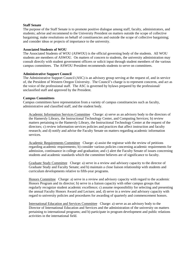#### **Staff Senate**

The purpose of the Staff Senate is to promote positive dialogue among staff, faculty, administrators, and students; advise and recommend to the University President on matters outside the scope of collective bargaining; make resolutions on behalf of constituencies and outside the scope of collective bargaining; and consider ideas or projects of importance to the university.

#### **Associated Students of WOU**

The Associated Students of WOU (ASWOU) is the official governing body of the students. All WOU students are members of ASWOU. On matters of concern to students, the university administration may consult directly with student government officers or solicit input through student members of the various campus committees. The ASWOU President recommends students to serve on committees.

#### **Administrative Support Council**

The Administrative Support Council (ASC) is an advisory group serving at the request of, and in service of, the President of Western Oregon University. The Council's charge is to represent concerns, and act as the voice of the professional staff. The ASC is governed by bylaws prepared by the professional/ unclassified staff and approved by the President.

#### **Campus Committees**

Campus committees have representation from a variety of campus constituencies such as faculty, administrative and classified staff, and the student body.

Academic Information Services Committee Charge: a) serve as an advisory body to the directors of the Hamersly Library, the Instructional Technology Center, and Computing Services; b) review matters pertaining to the Hamersly Library, the Instructional Technology Center at the request of the directors; c) review information services policies and practices that affect instruction and faculty research; and d) notify and advise the Faculty Senate on matters regarding academic information services.

Academic Requirements CommitteeCharge: a) assist the registrar with the review of petitions regarding academic requirements; b) consider various policies concerning academic requirements for admission, continuance in college and graduation; and c) alert the Faculty Senate of issues concerning students and academic standards which the committee believes are of significance to faculty.

Graduate Study CommitteeCharge: a) serve in a review and advisory capacity to the director of Graduate Study and Faculty Senate; and b) maintain a close liaison relationship with students and curriculum developments relative to fifth-year programs.

Honors CommitteeCharge: a) serve in a review and advisory capacity with regard to the academic Honors Program and its director; b) serve in a liaison capacity with other campus groups that regularly recognize student academic excellence; c) assume responsibility for selecting and presenting the annual Faculty Honors Award and Lecture; and, d) serve in a review and advisory capacity with regard to university policies and procedures for awarding of quarterly and commencement honors.

International Education and Services CommitteeCharge: a) serve as an advisory body to the Director of International Education and Services and the administration of the university on matters pertaining to international programs; and b) participate in program development and public relations activities in the international field.